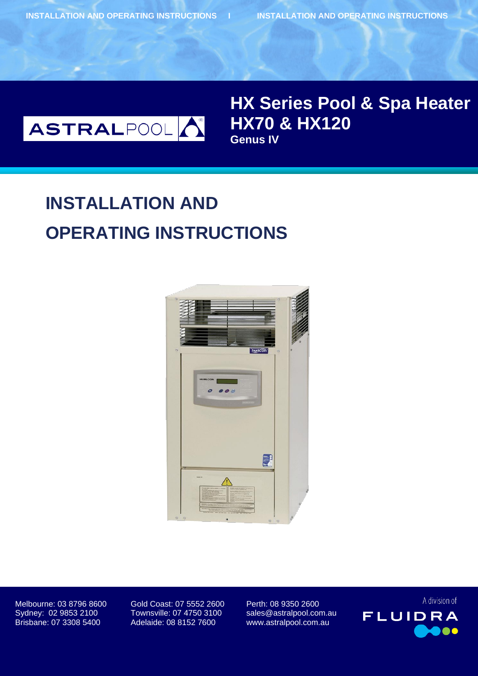**INSTALLATION AND OPERATING INSTRUCTIONS I INSTALLATION AND OPERATING INSTRUCTIONS**



# **Boleroo & HX120 HX Series Pool & Spa Heater Genus IV**

# **INSTALLATION AND OPERATING INSTRUCTIONS**



Melbourne: 03 8796 8600 Gold Coast: 07 5552 2600 Perth: 08 9350 2600 Sydney: 02 9853 2100 Townsville: 07 4750 3100 sales@astralpool.com.au

Brisbane: 07 3308 5400 Adelaide: 08 8152 7600 www.astralpool.com.au

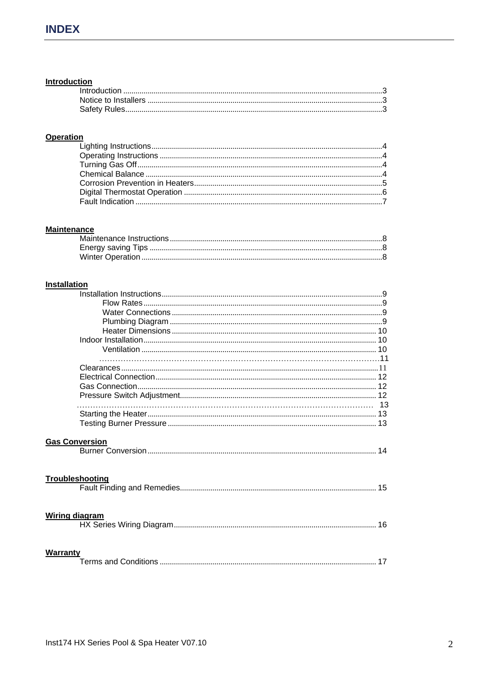### **Introduction**

## **Operation**

## **Maintenance**

## **Installation**

| <b>Gas Conversion</b> |    |
|-----------------------|----|
| Troubleshooting       |    |
| <b>Wiring diagram</b> | 16 |
| Warranty              | 17 |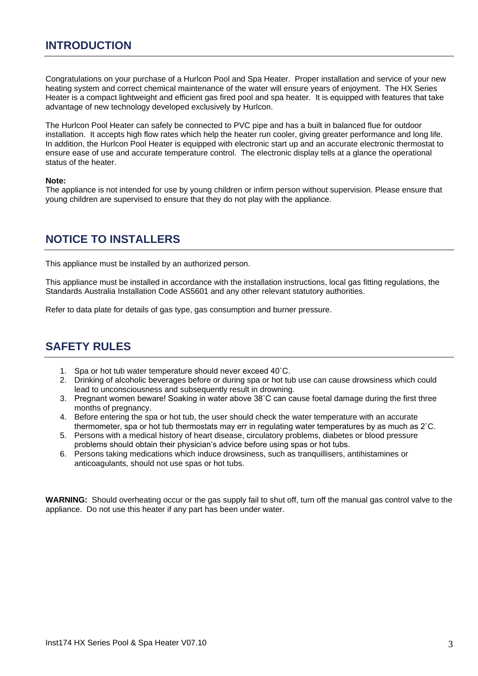Congratulations on your purchase of a Hurlcon Pool and Spa Heater. Proper installation and service of your new heating system and correct chemical maintenance of the water will ensure years of enjoyment. The HX Series Heater is a compact lightweight and efficient gas fired pool and spa heater. It is equipped with features that take advantage of new technology developed exclusively by Hurlcon.

The Hurlcon Pool Heater can safely be connected to PVC pipe and has a built in balanced flue for outdoor installation. It accepts high flow rates which help the heater run cooler, giving greater performance and long life. In addition, the Hurlcon Pool Heater is equipped with electronic start up and an accurate electronic thermostat to ensure ease of use and accurate temperature control. The electronic display tells at a glance the operational status of the heater.

#### **Note:**

The appliance is not intended for use by young children or infirm person without supervision. Please ensure that young children are supervised to ensure that they do not play with the appliance.

# **NOTICE TO INSTALLERS**

This appliance must be installed by an authorized person.

This appliance must be installed in accordance with the installation instructions, local gas fitting regulations, the Standards Australia Installation Code AS5601 and any other relevant statutory authorities.

Refer to data plate for details of gas type, gas consumption and burner pressure.

# **SAFETY RULES**

- 1. Spa or hot tub water temperature should never exceed 40˚C.
- 2. Drinking of alcoholic beverages before or during spa or hot tub use can cause drowsiness which could lead to unconsciousness and subsequently result in drowning.
- 3. Pregnant women beware! Soaking in water above 38˚C can cause foetal damage during the first three months of pregnancy.
- 4. Before entering the spa or hot tub, the user should check the water temperature with an accurate thermometer, spa or hot tub thermostats may err in regulating water temperatures by as much as 2˚C.
- 5. Persons with a medical history of heart disease, circulatory problems, diabetes or blood pressure problems should obtain their physician's advice before using spas or hot tubs.
- 6. Persons taking medications which induce drowsiness, such as tranquillisers, antihistamines or anticoagulants, should not use spas or hot tubs.

**WARNING:** Should overheating occur or the gas supply fail to shut off, turn off the manual gas control valve to the appliance. Do not use this heater if any part has been under water.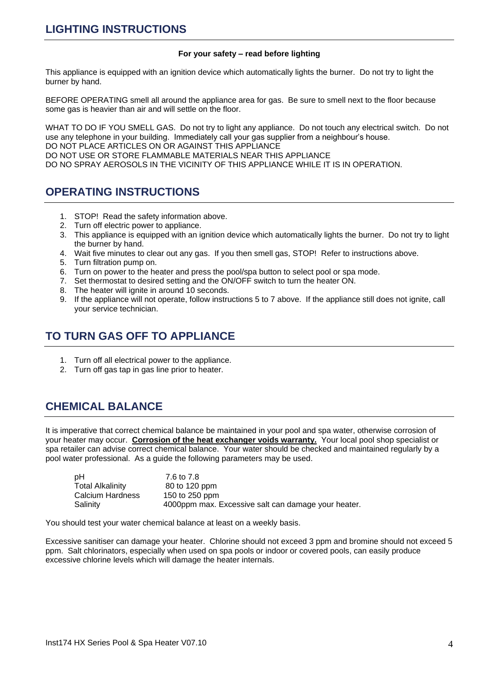#### **For your safety – read before lighting**

This appliance is equipped with an ignition device which automatically lights the burner. Do not try to light the burner by hand.

BEFORE OPERATING smell all around the appliance area for gas. Be sure to smell next to the floor because some gas is heavier than air and will settle on the floor.

WHAT TO DO IF YOU SMELL GAS. Do not try to light any appliance. Do not touch any electrical switch. Do not use any telephone in your building. Immediately call your gas supplier from a neighbour's house. DO NOT PLACE ARTICLES ON OR AGAINST THIS APPLIANCE DO NOT USE OR STORE FLAMMABLE MATERIALS NEAR THIS APPLIANCE DO NO SPRAY AEROSOLS IN THE VICINITY OF THIS APPLIANCE WHILE IT IS IN OPERATION.

## **OPERATING INSTRUCTIONS**

- 1. STOP! Read the safety information above.
- 2. Turn off electric power to appliance.
- 3. This appliance is equipped with an ignition device which automatically lights the burner. Do not try to light the burner by hand.
- 4. Wait five minutes to clear out any gas. If you then smell gas, STOP! Refer to instructions above.
- 5. Turn filtration pump on.
- 6. Turn on power to the heater and press the pool/spa button to select pool or spa mode.
- 7. Set thermostat to desired setting and the ON/OFF switch to turn the heater ON.
- 8. The heater will ignite in around 10 seconds.
- 9. If the appliance will not operate, follow instructions 5 to 7 above. If the appliance still does not ignite, call your service technician.

# **TO TURN GAS OFF TO APPLIANCE**

- 1. Turn off all electrical power to the appliance.
- 2. Turn off gas tap in gas line prior to heater.

# **CHEMICAL BALANCE**

It is imperative that correct chemical balance be maintained in your pool and spa water, otherwise corrosion of your heater may occur. **Corrosion of the heat exchanger voids warranty.** Your local pool shop specialist or spa retailer can advise correct chemical balance. Your water should be checked and maintained regularly by a pool water professional. As a guide the following parameters may be used.

| рH                      | 7.6 to 7.8                                          |
|-------------------------|-----------------------------------------------------|
| <b>Total Alkalinity</b> | 80 to 120 ppm                                       |
| Calcium Hardness        | 150 to 250 ppm                                      |
| Salinity                | 4000ppm max. Excessive salt can damage your heater. |

You should test your water chemical balance at least on a weekly basis.

Excessive sanitiser can damage your heater. Chlorine should not exceed 3 ppm and bromine should not exceed 5 ppm. Salt chlorinators, especially when used on spa pools or indoor or covered pools, can easily produce excessive chlorine levels which will damage the heater internals.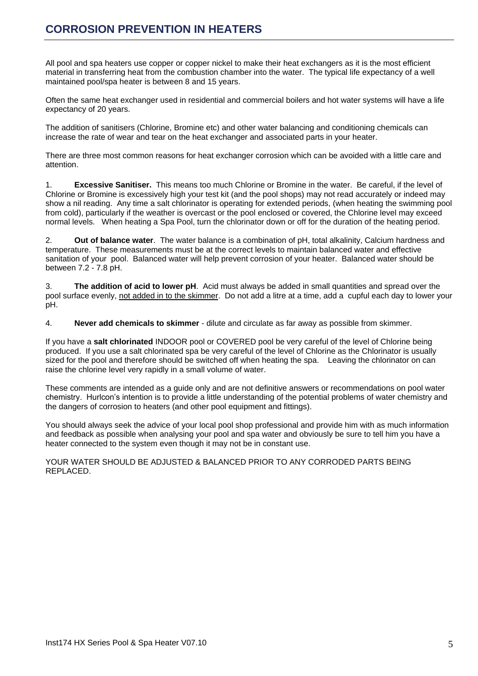All pool and spa heaters use copper or copper nickel to make their heat exchangers as it is the most efficient material in transferring heat from the combustion chamber into the water. The typical life expectancy of a well maintained pool/spa heater is between 8 and 15 years.

Often the same heat exchanger used in residential and commercial boilers and hot water systems will have a life expectancy of 20 years.

The addition of sanitisers (Chlorine, Bromine etc) and other water balancing and conditioning chemicals can increase the rate of wear and tear on the heat exchanger and associated parts in your heater.

There are three most common reasons for heat exchanger corrosion which can be avoided with a little care and attention.

1. **Excessive Sanitiser.** This means too much Chlorine or Bromine in the water. Be careful, if the level of Chlorine or Bromine is excessively high your test kit (and the pool shops) may not read accurately or indeed may show a nil reading. Any time a salt chlorinator is operating for extended periods, (when heating the swimming pool from cold), particularly if the weather is overcast or the pool enclosed or covered, the Chlorine level may exceed normal levels. When heating a Spa Pool, turn the chlorinator down or off for the duration of the heating period.

2. **Out of balance water**. The water balance is a combination of pH, total alkalinity, Calcium hardness and temperature. These measurements must be at the correct levels to maintain balanced water and effective sanitation of your pool. Balanced water will help prevent corrosion of your heater. Balanced water should be between 7.2 - 7.8 pH.

3. **The addition of acid to lower pH**. Acid must always be added in small quantities and spread over the pool surface evenly, not added in to the skimmer. Do not add a litre at a time, add a cupful each day to lower your pH.

4. **Never add chemicals to skimmer** - dilute and circulate as far away as possible from skimmer.

If you have a **salt chlorinated** INDOOR pool or COVERED pool be very careful of the level of Chlorine being produced. If you use a salt chlorinated spa be very careful of the level of Chlorine as the Chlorinator is usually sized for the pool and therefore should be switched off when heating the spa. Leaving the chlorinator on can raise the chlorine level very rapidly in a small volume of water.

These comments are intended as a guide only and are not definitive answers or recommendations on pool water chemistry. Hurlcon's intention is to provide a little understanding of the potential problems of water chemistry and the dangers of corrosion to heaters (and other pool equipment and fittings).

You should always seek the advice of your local pool shop professional and provide him with as much information and feedback as possible when analysing your pool and spa water and obviously be sure to tell him you have a heater connected to the system even though it may not be in constant use.

YOUR WATER SHOULD BE ADJUSTED & BALANCED PRIOR TO ANY CORRODED PARTS BEING REPLACED.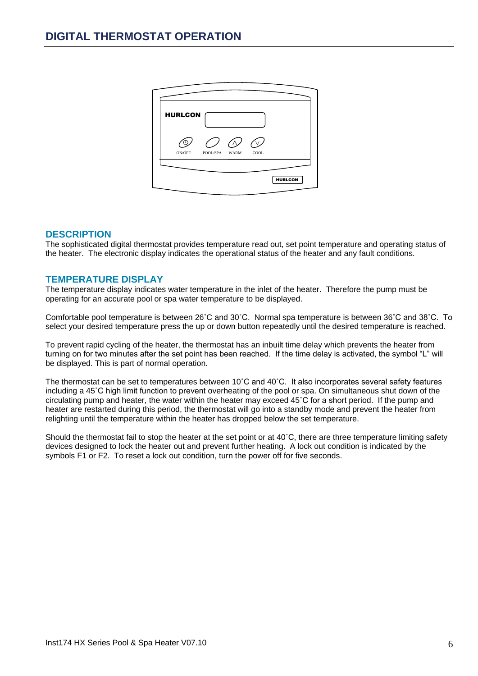| <b>HURLCON</b> |          |             |      |                |
|----------------|----------|-------------|------|----------------|
| ON/OFF         | POOL/SPA | <b>WARM</b> | COOL |                |
|                |          |             |      |                |
|                |          |             |      | <b>HURLCON</b> |

### **DESCRIPTION**

The sophisticated digital thermostat provides temperature read out, set point temperature and operating status of the heater. The electronic display indicates the operational status of the heater and any fault conditions.

### **TEMPERATURE DISPLAY**

The temperature display indicates water temperature in the inlet of the heater. Therefore the pump must be operating for an accurate pool or spa water temperature to be displayed.

Comfortable pool temperature is between 26˚C and 30˚C. Normal spa temperature is between 36˚C and 38˚C. To select your desired temperature press the up or down button repeatedly until the desired temperature is reached.

To prevent rapid cycling of the heater, the thermostat has an inbuilt time delay which prevents the heater from turning on for two minutes after the set point has been reached. If the time delay is activated, the symbol "L" will be displayed. This is part of normal operation.

The thermostat can be set to temperatures between 10˚C and 40˚C. It also incorporates several safety features including a 45˚C high limit function to prevent overheating of the pool or spa. On simultaneous shut down of the circulating pump and heater, the water within the heater may exceed 45˚C for a short period. If the pump and heater are restarted during this period, the thermostat will go into a standby mode and prevent the heater from relighting until the temperature within the heater has dropped below the set temperature.

Should the thermostat fail to stop the heater at the set point or at 40°C, there are three temperature limiting safety devices designed to lock the heater out and prevent further heating. A lock out condition is indicated by the symbols F1 or F2. To reset a lock out condition, turn the power off for five seconds.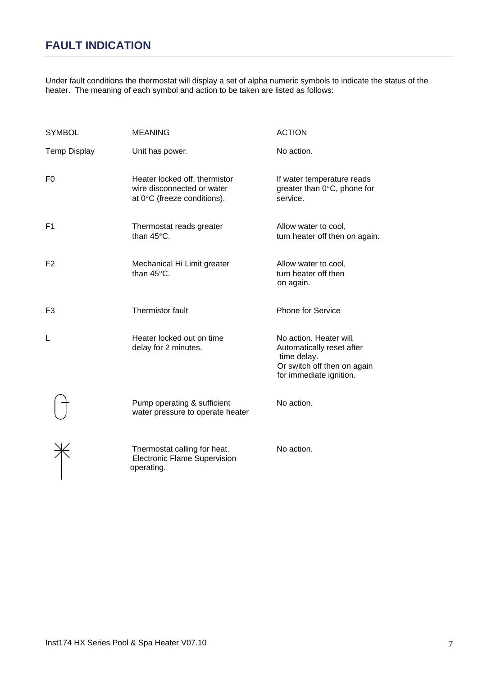# **FAULT INDICATION**

Under fault conditions the thermostat will display a set of alpha numeric symbols to indicate the status of the heater. The meaning of each symbol and action to be taken are listed as follows:

| <b>SYMBOL</b>       | <b>MEANING</b>                                                                             | <b>ACTION</b>                                                                                                                |
|---------------------|--------------------------------------------------------------------------------------------|------------------------------------------------------------------------------------------------------------------------------|
| <b>Temp Display</b> | Unit has power.                                                                            | No action.                                                                                                                   |
| F <sub>0</sub>      | Heater locked off, thermistor<br>wire disconnected or water<br>at 0°C (freeze conditions). | If water temperature reads<br>greater than $0^{\circ}$ C, phone for<br>service.                                              |
| F <sub>1</sub>      | Thermostat reads greater<br>than 45°C.                                                     | Allow water to cool,<br>turn heater off then on again.                                                                       |
| F <sub>2</sub>      | Mechanical Hi Limit greater<br>than $45^{\circ}$ C.                                        | Allow water to cool,<br>turn heater off then<br>on again.                                                                    |
| F <sub>3</sub>      | Thermistor fault                                                                           | Phone for Service                                                                                                            |
| L                   | Heater locked out on time<br>delay for 2 minutes.                                          | No action. Heater will<br>Automatically reset after<br>time delay.<br>Or switch off then on again<br>for immediate ignition. |
|                     | Pump operating & sufficient<br>water pressure to operate heater                            | No action.                                                                                                                   |
|                     | Thermostat calling for heat.<br><b>Electronic Flame Supervision</b><br>operating.          | No action.                                                                                                                   |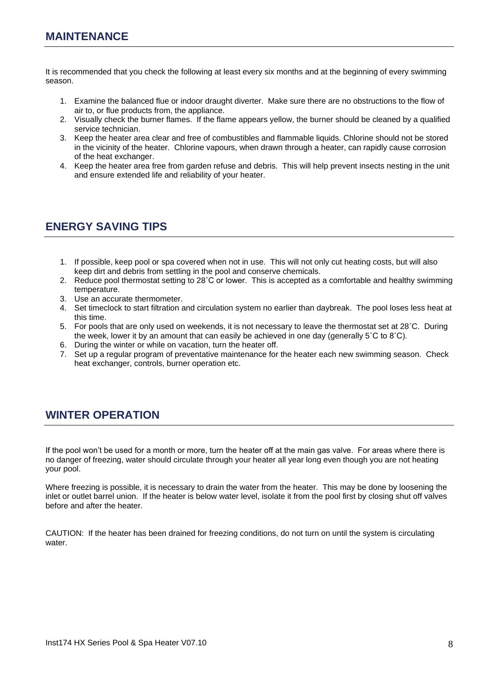It is recommended that you check the following at least every six months and at the beginning of every swimming season.

- 1. Examine the balanced flue or indoor draught diverter. Make sure there are no obstructions to the flow of air to, or flue products from, the appliance.
- 2. Visually check the burner flames. If the flame appears yellow, the burner should be cleaned by a qualified service technician.
- 3. Keep the heater area clear and free of combustibles and flammable liquids. Chlorine should not be stored in the vicinity of the heater. Chlorine vapours, when drawn through a heater, can rapidly cause corrosion of the heat exchanger.
- 4. Keep the heater area free from garden refuse and debris. This will help prevent insects nesting in the unit and ensure extended life and reliability of your heater.

# **ENERGY SAVING TIPS**

- 1. If possible, keep pool or spa covered when not in use. This will not only cut heating costs, but will also keep dirt and debris from settling in the pool and conserve chemicals.
- 2. Reduce pool thermostat setting to 28˚C or lower. This is accepted as a comfortable and healthy swimming temperature.
- 3. Use an accurate thermometer.
- 4. Set timeclock to start filtration and circulation system no earlier than daybreak. The pool loses less heat at this time.
- 5. For pools that are only used on weekends, it is not necessary to leave the thermostat set at 28˚C. During the week, lower it by an amount that can easily be achieved in one day (generally  $5^\circ$ C to  $8^\circ$ C).
- 6. During the winter or while on vacation, turn the heater off.
- 7. Set up a regular program of preventative maintenance for the heater each new swimming season. Check heat exchanger, controls, burner operation etc.

# **WINTER OPERATION**

If the pool won't be used for a month or more, turn the heater off at the main gas valve. For areas where there is no danger of freezing, water should circulate through your heater all year long even though you are not heating your pool.

Where freezing is possible, it is necessary to drain the water from the heater. This may be done by loosening the inlet or outlet barrel union. If the heater is below water level, isolate it from the pool first by closing shut off valves before and after the heater.

CAUTION: If the heater has been drained for freezing conditions, do not turn on until the system is circulating water.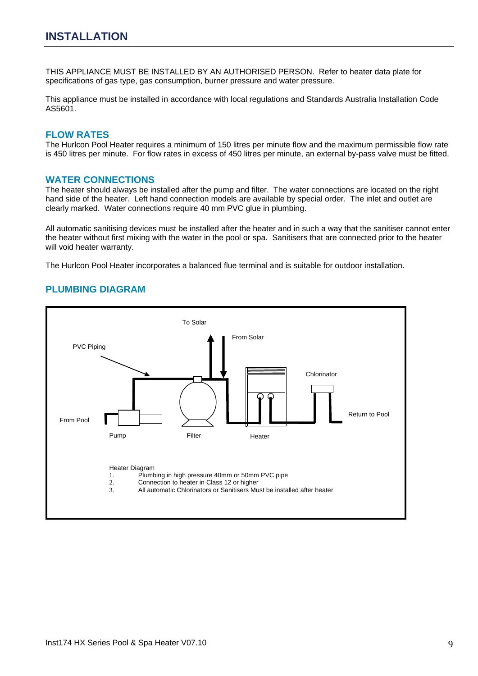THIS APPLIANCE MUST BE INSTALLED BY AN AUTHORISED PERSON. Refer to heater data plate for specifications of gas type, gas consumption, burner pressure and water pressure.

This appliance must be installed in accordance with local regulations and Standards Australia Installation Code AS5601.

#### **FLOW RATES**

The Hurlcon Pool Heater requires a minimum of 150 litres per minute flow and the maximum permissible flow rate is 450 litres per minute. For flow rates in excess of 450 litres per minute, an external by-pass valve must be fitted.

#### **WATER CONNECTIONS**

The heater should always be installed after the pump and filter. The water connections are located on the right hand side of the heater. Left hand connection models are available by special order. The inlet and outlet are clearly marked. Water connections require 40 mm PVC glue in plumbing.

All automatic sanitising devices must be installed after the heater and in such a way that the sanitiser cannot enter the heater without first mixing with the water in the pool or spa. Sanitisers that are connected prior to the heater will void heater warranty.

The Hurlcon Pool Heater incorporates a balanced flue terminal and is suitable for outdoor installation.

#### **PLUMBING DIAGRAM**

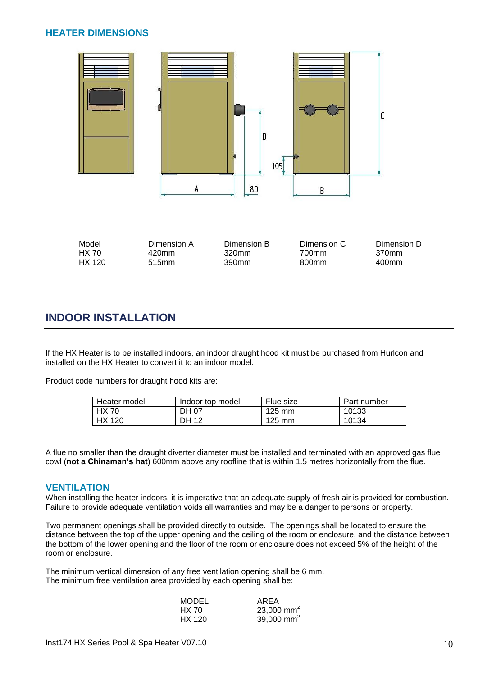## **HEATER DIMENSIONS**



| Model  | Dimension A | Dimension B | Dimension C | Dimension D |
|--------|-------------|-------------|-------------|-------------|
| HX 70  | 420mm       | 320mm       | 700mm       | 370mm       |
| HX 120 | 515mm       | 390mm       | 800mm       | 400mm       |

## **INDOOR INSTALLATION**

If the HX Heater is to be installed indoors, an indoor draught hood kit must be purchased from Hurlcon and installed on the HX Heater to convert it to an indoor model.

Product code numbers for draught hood kits are:

| Heater model | Indoor top model | Flue size        | Part number |
|--------------|------------------|------------------|-------------|
| HX 70        | DH 07            | $125 \text{ mm}$ | 10133       |
| HX 120       | <b>DH 12</b>     | $125 \text{ mm}$ | 10134       |

A flue no smaller than the draught diverter diameter must be installed and terminated with an approved gas flue cowl (**not a Chinaman's hat**) 600mm above any roofline that is within 1.5 metres horizontally from the flue.

#### **VENTILATION**

When installing the heater indoors, it is imperative that an adequate supply of fresh air is provided for combustion. Failure to provide adequate ventilation voids all warranties and may be a danger to persons or property.

Two permanent openings shall be provided directly to outside. The openings shall be located to ensure the distance between the top of the upper opening and the ceiling of the room or enclosure, and the distance between the bottom of the lower opening and the floor of the room or enclosure does not exceed 5% of the height of the room or enclosure.

The minimum vertical dimension of any free ventilation opening shall be 6 mm. The minimum free ventilation area provided by each opening shall be:

| <b>MODEL</b> | AREA                   |
|--------------|------------------------|
| HX 70        | 23,000 mm <sup>2</sup> |
| HX 120       | 39,000 mm <sup>2</sup> |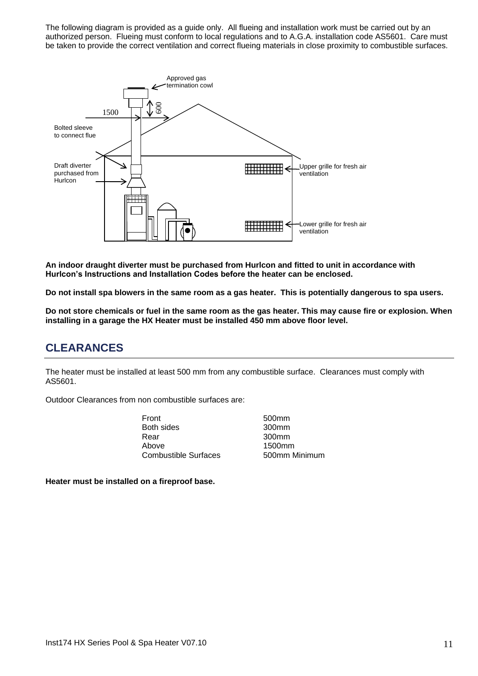The following diagram is provided as a guide only. All flueing and installation work must be carried out by an authorized person. Flueing must conform to local regulations and to A.G.A. installation code AS5601. Care must be taken to provide the correct ventilation and correct flueing materials in close proximity to combustible surfaces.



**An indoor draught diverter must be purchased from Hurlcon and fitted to unit in accordance with Hurlcon's Instructions and Installation Codes before the heater can be enclosed.**

**Do not install spa blowers in the same room as a gas heater. This is potentially dangerous to spa users.**

**Do not store chemicals or fuel in the same room as the gas heater. This may cause fire or explosion. When installing in a garage the HX Heater must be installed 450 mm above floor level.**

## **CLEARANCES**

The heater must be installed at least 500 mm from any combustible surface. Clearances must comply with AS5601.

Outdoor Clearances from non combustible surfaces are:

- Front 500mm Both sides 300mm Rear 300mm Above 1500mm Combustible Surfaces 500mm Minimum
	-

**Heater must be installed on a fireproof base.**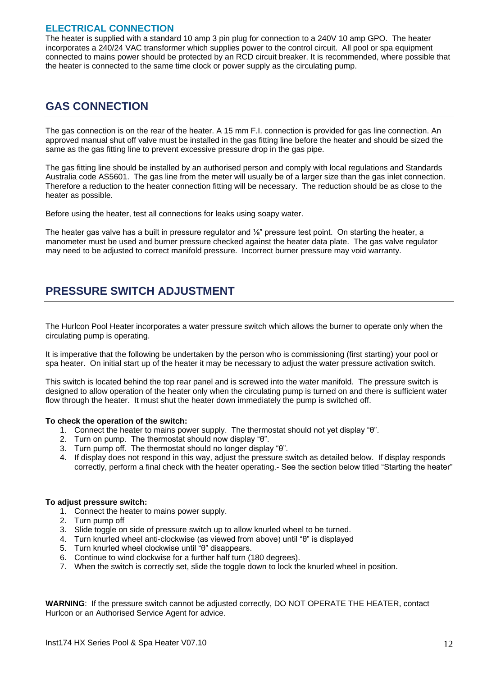## **ELECTRICAL CONNECTION**

The heater is supplied with a standard 10 amp 3 pin plug for connection to a 240V 10 amp GPO. The heater incorporates a 240/24 VAC transformer which supplies power to the control circuit. All pool or spa equipment connected to mains power should be protected by an RCD circuit breaker. It is recommended, where possible that the heater is connected to the same time clock or power supply as the circulating pump.

## **GAS CONNECTION**

The gas connection is on the rear of the heater. A 15 mm F.I. connection is provided for gas line connection. An approved manual shut off valve must be installed in the gas fitting line before the heater and should be sized the same as the gas fitting line to prevent excessive pressure drop in the gas pipe.

The gas fitting line should be installed by an authorised person and comply with local regulations and Standards Australia code AS5601. The gas line from the meter will usually be of a larger size than the gas inlet connection. Therefore a reduction to the heater connection fitting will be necessary. The reduction should be as close to the heater as possible.

Before using the heater, test all connections for leaks using soapy water.

The heater gas valve has a built in pressure regulator and ⅛" pressure test point. On starting the heater, a manometer must be used and burner pressure checked against the heater data plate. The gas valve regulator may need to be adjusted to correct manifold pressure. Incorrect burner pressure may void warranty.

# **PRESSURE SWITCH ADJUSTMENT**

The Hurlcon Pool Heater incorporates a water pressure switch which allows the burner to operate only when the circulating pump is operating.

It is imperative that the following be undertaken by the person who is commissioning (first starting) your pool or spa heater. On initial start up of the heater it may be necessary to adjust the water pressure activation switch.

This switch is located behind the top rear panel and is screwed into the water manifold. The pressure switch is designed to allow operation of the heater only when the circulating pump is turned on and there is sufficient water flow through the heater. It must shut the heater down immediately the pump is switched off.

#### **To check the operation of the switch:**

- 1. Connect the heater to mains power supply. The thermostat should not yet display "θ".
- 2. Turn on pump. The thermostat should now display "θ".
- 3. Turn pump off. The thermostat should no longer display "θ".
- 4. If display does not respond in this way, adjust the pressure switch as detailed below. If display responds correctly, perform a final check with the heater operating.- See the section below titled "Starting the heater"

#### **To adjust pressure switch:**

- 1. Connect the heater to mains power supply.
- 2. Turn pump off
- 3. Slide toggle on side of pressure switch up to allow knurled wheel to be turned.
- 4. Turn knurled wheel anti-clockwise (as viewed from above) until "θ" is displayed
- 5. Turn knurled wheel clockwise until "θ" disappears.
- 6. Continue to wind clockwise for a further half turn (180 degrees).
- 7. When the switch is correctly set, slide the toggle down to lock the knurled wheel in position.

**WARNING**: If the pressure switch cannot be adjusted correctly, DO NOT OPERATE THE HEATER, contact Hurlcon or an Authorised Service Agent for advice.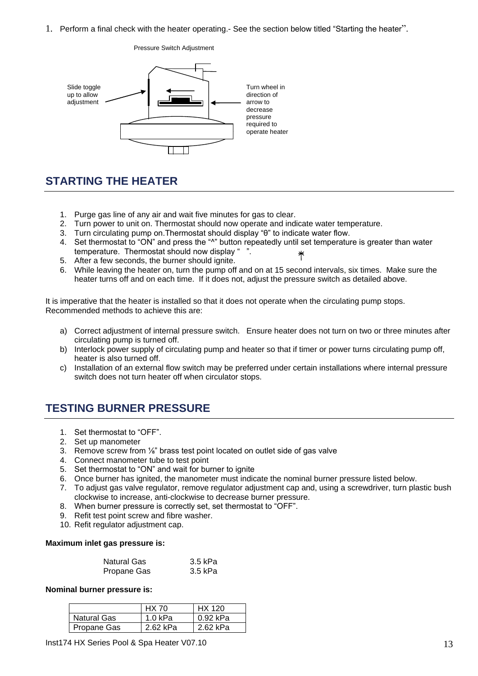1. Perform a final check with the heater operating.- See the section below titled "Starting the heater".



#### Pressure Switch Adjustment

# **STARTING THE HEATER**

- 1. Purge gas line of any air and wait five minutes for gas to clear.
- 2. Turn power to unit on. Thermostat should now operate and indicate water temperature.
- 3. Turn circulating pump on.Thermostat should display "θ" to indicate water flow.
- 4. Set thermostat to "ON" and press the "^" button repeatedly until set temperature is greater than water temperature. Thermostat should now display "
- 5. After a few seconds, the burner should ignite.
- 6. While leaving the heater on, turn the pump off and on at 15 second intervals, six times. Make sure the heater turns off and on each time. If it does not, adjust the pressure switch as detailed above.

It is imperative that the heater is installed so that it does not operate when the circulating pump stops. Recommended methods to achieve this are:

- a) Correct adjustment of internal pressure switch. Ensure heater does not turn on two or three minutes after circulating pump is turned off.
- b) Interlock power supply of circulating pump and heater so that if timer or power turns circulating pump off, heater is also turned off.
- c) Installation of an external flow switch may be preferred under certain installations where internal pressure switch does not turn heater off when circulator stops.

# **TESTING BURNER PRESSURE**

- 1. Set thermostat to "OFF".
- 2. Set up manometer
- 3. Remove screw from ⅛" brass test point located on outlet side of gas valve
- 4. Connect manometer tube to test point
- 5. Set thermostat to "ON" and wait for burner to ignite
- 6. Once burner has ignited, the manometer must indicate the nominal burner pressure listed below.
- 7. To adjust gas valve regulator, remove regulator adjustment cap and, using a screwdriver, turn plastic bush clockwise to increase, anti-clockwise to decrease burner pressure.
- 8. When burner pressure is correctly set, set thermostat to "OFF".
- 9. Refit test point screw and fibre washer.
- 10. Refit regulator adjustment cap.

#### **Maximum inlet gas pressure is:**

| <b>Natural Gas</b> | 3.5 kPa |
|--------------------|---------|
| Propane Gas        | 3.5 kPa |

#### **Nominal burner pressure is:**

|             | <b>HX 70</b> | HX 120   |
|-------------|--------------|----------|
| Natural Gas | 1.0 kPa      | 0.92 kPa |
| Propane Gas | 262 kPa      | 2.62 kPa |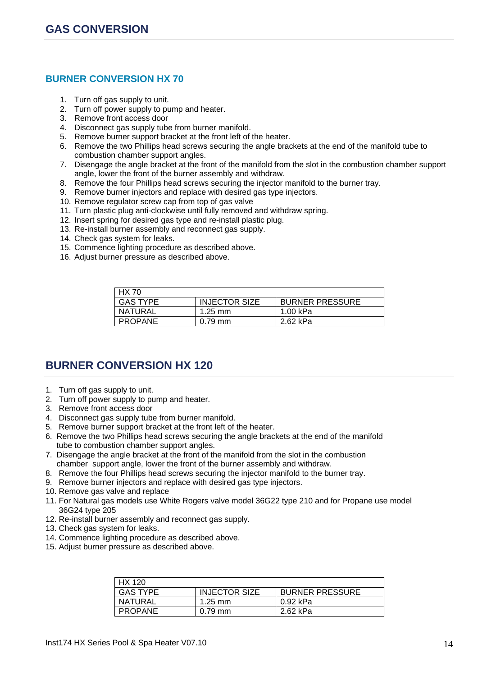## **BURNER CONVERSION HX 70**

- 1. Turn off gas supply to unit.
- 2. Turn off power supply to pump and heater.
- 3. Remove front access door
- 4. Disconnect gas supply tube from burner manifold.
- 5. Remove burner support bracket at the front left of the heater.
- 6. Remove the two Phillips head screws securing the angle brackets at the end of the manifold tube to combustion chamber support angles.
- 7. Disengage the angle bracket at the front of the manifold from the slot in the combustion chamber support angle, lower the front of the burner assembly and withdraw.
- 8. Remove the four Phillips head screws securing the injector manifold to the burner tray.
- 9. Remove burner injectors and replace with desired gas type injectors.
- 10. Remove regulator screw cap from top of gas valve
- 11. Turn plastic plug anti-clockwise until fully removed and withdraw spring.
- 12. Insert spring for desired gas type and re-install plastic plug.
- 13. Re-install burner assembly and reconnect gas supply.
- 14. Check gas system for leaks.
- 15. Commence lighting procedure as described above.
- 16. Adjust burner pressure as described above.

| <b>HX 70</b>    |                      |                        |  |
|-----------------|----------------------|------------------------|--|
| <b>GAS TYPE</b> | <b>INJECTOR SIZE</b> | <b>BURNER PRESSURE</b> |  |
| NATURAL         | $1.25 \text{ mm}$    | 1.00 kPa               |  |
| <b>PROPANE</b>  | $0.79$ mm            | 2.62 kPa               |  |

# **BURNER CONVERSION HX 120**

- 1. Turn off gas supply to unit.
- 2. Turn off power supply to pump and heater.
- 3. Remove front access door
- 4. Disconnect gas supply tube from burner manifold.
- 5. Remove burner support bracket at the front left of the heater.
- 6. Remove the two Phillips head screws securing the angle brackets at the end of the manifold tube to combustion chamber support angles.
- 7. Disengage the angle bracket at the front of the manifold from the slot in the combustion chamber support angle, lower the front of the burner assembly and withdraw.
- 8. Remove the four Phillips head screws securing the injector manifold to the burner tray.
- 9. Remove burner injectors and replace with desired gas type injectors.
- 10. Remove gas valve and replace
- 11. For Natural gas models use White Rogers valve model 36G22 type 210 and for Propane use model 36G24 type 205
- 12. Re-install burner assembly and reconnect gas supply.
- 13. Check gas system for leaks.
- 14. Commence lighting procedure as described above.
- 15. Adjust burner pressure as described above.

| HX 120          |                      |                        |
|-----------------|----------------------|------------------------|
| <b>GAS TYPE</b> | <b>INJECTOR SIZE</b> | <b>BURNER PRESSURE</b> |
| <b>NATURAL</b>  | $1.25$ mm            | 0.92 kPa               |
| <b>PROPANE</b>  | $0.79$ mm            | 2.62 kPa               |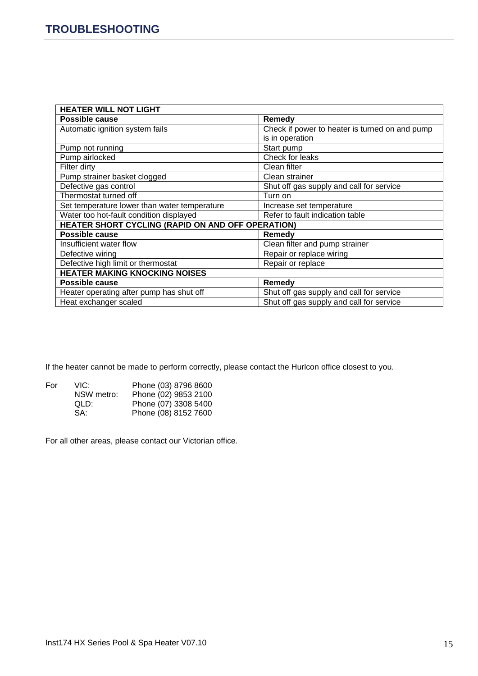| <b>HEATER WILL NOT LIGHT</b>                      |  |  |  |
|---------------------------------------------------|--|--|--|
| Remedy                                            |  |  |  |
| Check if power to heater is turned on and pump    |  |  |  |
| is in operation                                   |  |  |  |
| Start pump                                        |  |  |  |
| Check for leaks                                   |  |  |  |
| Clean filter                                      |  |  |  |
| Clean strainer                                    |  |  |  |
| Shut off gas supply and call for service          |  |  |  |
| Turn on                                           |  |  |  |
| Increase set temperature                          |  |  |  |
| Refer to fault indication table                   |  |  |  |
| HEATER SHORT CYCLING (RAPID ON AND OFF OPERATION) |  |  |  |
| Remedy                                            |  |  |  |
| Clean filter and pump strainer                    |  |  |  |
| Repair or replace wiring                          |  |  |  |
| Repair or replace                                 |  |  |  |
| <b>HEATER MAKING KNOCKING NOISES</b>              |  |  |  |
| Remedy                                            |  |  |  |
| Shut off gas supply and call for service          |  |  |  |
| Shut off gas supply and call for service          |  |  |  |
|                                                   |  |  |  |

If the heater cannot be made to perform correctly, please contact the Hurlcon office closest to you.

| For | VIC:       | Phone (03) 8796 8600 |
|-----|------------|----------------------|
|     | NSW metro: | Phone (02) 9853 2100 |
|     | QLD:       | Phone (07) 3308 5400 |
|     | SA:        | Phone (08) 8152 7600 |

For all other areas, please contact our Victorian office.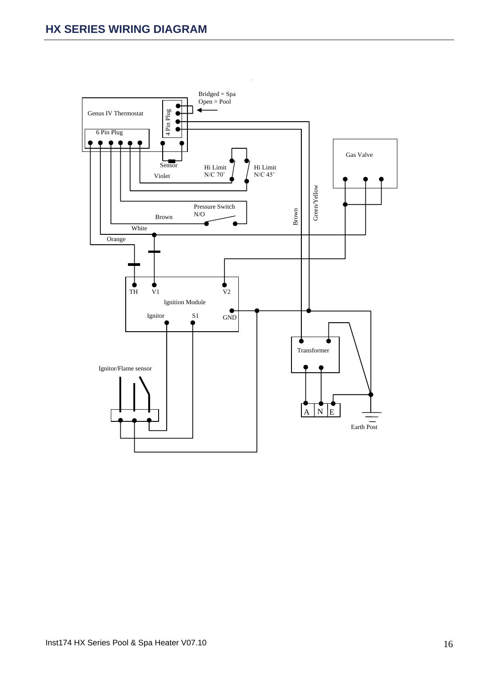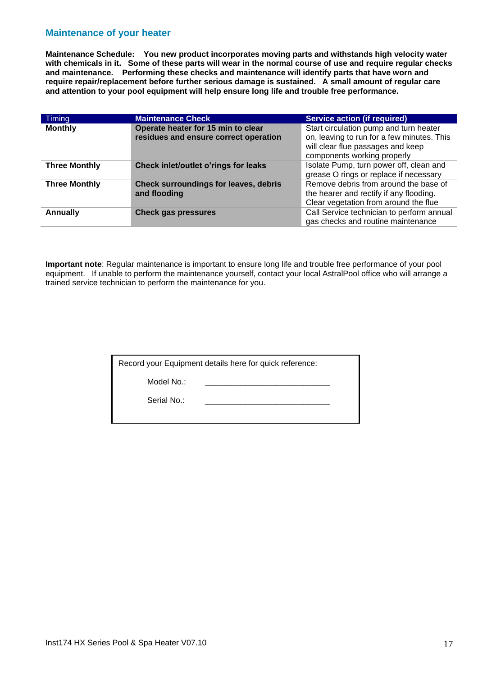### **Maintenance of your heater**

**Maintenance Schedule: You new product incorporates moving parts and withstands high velocity water with chemicals in it. Some of these parts will wear in the normal course of use and require regular checks and maintenance. Performing these checks and maintenance will identify parts that have worn and require repair/replacement before further serious damage is sustained. A small amount of regular care and attention to your pool equipment will help ensure long life and trouble free performance.**

| Timing               | <b>Maintenance Check</b>                                                    | <b>Service action (if required)</b>                                                                                                                      |
|----------------------|-----------------------------------------------------------------------------|----------------------------------------------------------------------------------------------------------------------------------------------------------|
| <b>Monthly</b>       | Operate heater for 15 min to clear<br>residues and ensure correct operation | Start circulation pump and turn heater<br>on, leaving to run for a few minutes. This<br>will clear flue passages and keep<br>components working properly |
| <b>Three Monthly</b> | Check inlet/outlet o'rings for leaks                                        | Isolate Pump, turn power off, clean and<br>grease O rings or replace if necessary                                                                        |
| <b>Three Monthly</b> | Check surroundings for leaves, debris<br>and flooding                       | Remove debris from around the base of<br>the hearer and rectify if any flooding.<br>Clear vegetation from around the flue                                |
| <b>Annually</b>      | <b>Check gas pressures</b>                                                  | Call Service technician to perform annual<br>gas checks and routine maintenance                                                                          |

**Important note**: Regular maintenance is important to ensure long life and trouble free performance of your pool equipment. If unable to perform the maintenance yourself, contact your local AstralPool office who will arrange a trained service technician to perform the maintenance for you.

| Record your Equipment details here for quick reference: |
|---------------------------------------------------------|
|---------------------------------------------------------|

Model No.:

Serial No.: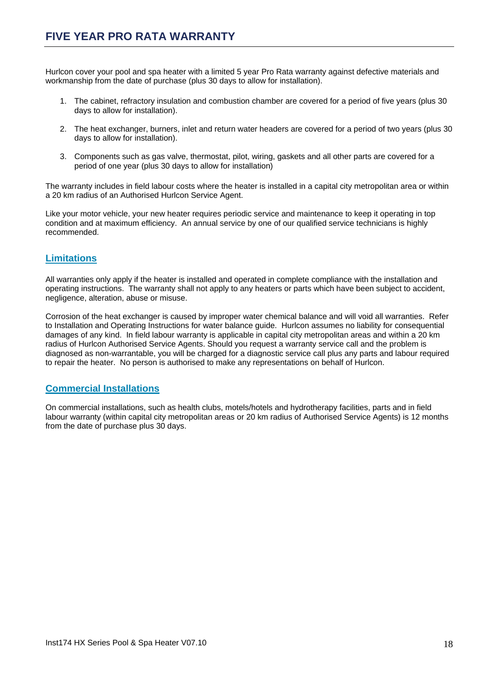Hurlcon cover your pool and spa heater with a limited 5 year Pro Rata warranty against defective materials and workmanship from the date of purchase (plus 30 days to allow for installation).

- 1. The cabinet, refractory insulation and combustion chamber are covered for a period of five years (plus 30 days to allow for installation).
- 2. The heat exchanger, burners, inlet and return water headers are covered for a period of two years (plus 30 days to allow for installation).
- 3. Components such as gas valve, thermostat, pilot, wiring, gaskets and all other parts are covered for a period of one year (plus 30 days to allow for installation)

The warranty includes in field labour costs where the heater is installed in a capital city metropolitan area or within a 20 km radius of an Authorised Hurlcon Service Agent.

Like your motor vehicle, your new heater requires periodic service and maintenance to keep it operating in top condition and at maximum efficiency. An annual service by one of our qualified service technicians is highly recommended.

## **Limitations**

All warranties only apply if the heater is installed and operated in complete compliance with the installation and operating instructions. The warranty shall not apply to any heaters or parts which have been subject to accident, negligence, alteration, abuse or misuse.

Corrosion of the heat exchanger is caused by improper water chemical balance and will void all warranties. Refer to Installation and Operating Instructions for water balance guide. Hurlcon assumes no liability for consequential damages of any kind. In field labour warranty is applicable in capital city metropolitan areas and within a 20 km radius of Hurlcon Authorised Service Agents. Should you request a warranty service call and the problem is diagnosed as non-warrantable, you will be charged for a diagnostic service call plus any parts and labour required to repair the heater. No person is authorised to make any representations on behalf of Hurlcon.

### **Commercial Installations**

On commercial installations, such as health clubs, motels/hotels and hydrotherapy facilities, parts and in field labour warranty (within capital city metropolitan areas or 20 km radius of Authorised Service Agents) is 12 months from the date of purchase plus 30 days.